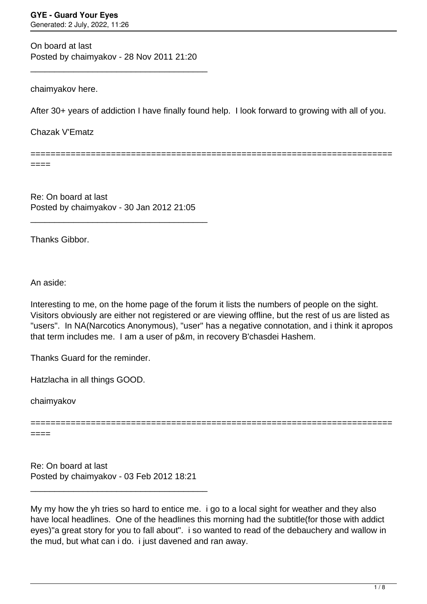On board at last Posted by chaimyakov - 28 Nov 2011 21:20

\_\_\_\_\_\_\_\_\_\_\_\_\_\_\_\_\_\_\_\_\_\_\_\_\_\_\_\_\_\_\_\_\_\_\_\_\_

chaimyakov here.

After 30+ years of addiction I have finally found help. I look forward to growing with all of you.

Chazak V'Ematz

========================================================================

====

Re: On board at last Posted by chaimyakov - 30 Jan 2012 21:05

\_\_\_\_\_\_\_\_\_\_\_\_\_\_\_\_\_\_\_\_\_\_\_\_\_\_\_\_\_\_\_\_\_\_\_\_\_

Thanks Gibbor.

An aside:

Interesting to me, on the home page of the forum it lists the numbers of people on the sight. Visitors obviously are either not registered or are viewing offline, but the rest of us are listed as "users". In NA(Narcotics Anonymous), "user" has a negative connotation, and i think it apropos that term includes me. I am a user of p&m, in recovery B'chasdei Hashem.

Thanks Guard for the reminder.

Hatzlacha in all things GOOD.

chaimyakov

========================================================================

====

Re: On board at last Posted by chaimyakov - 03 Feb 2012 18:21

\_\_\_\_\_\_\_\_\_\_\_\_\_\_\_\_\_\_\_\_\_\_\_\_\_\_\_\_\_\_\_\_\_\_\_\_\_

My my how the yh tries so hard to entice me. i go to a local sight for weather and they also have local headlines. One of the headlines this morning had the subtitle(for those with addict eyes)"a great story for you to fall about". i so wanted to read of the debauchery and wallow in the mud, but what can i do. i just davened and ran away.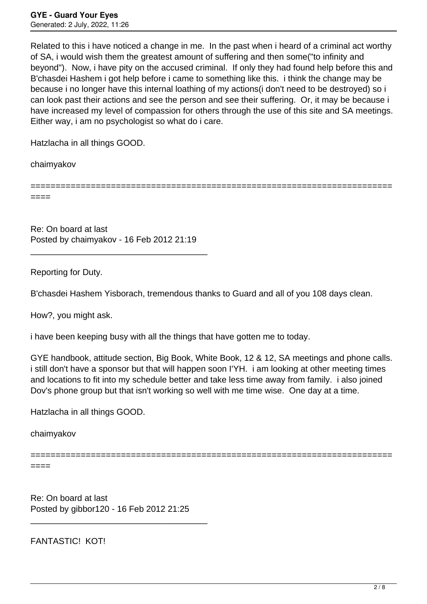Related to this i have noticed a change in me. In the past when i heard of a criminal act worthy of SA, i would wish them the greatest amount of suffering and then some("to infinity and beyond"). Now, i have pity on the accused criminal. If only they had found help before this and B'chasdei Hashem i got help before i came to something like this. i think the change may be because i no longer have this internal loathing of my actions(i don't need to be destroyed) so i can look past their actions and see the person and see their suffering. Or, it may be because i have increased my level of compassion for others through the use of this site and SA meetings. Either way, i am no psychologist so what do i care.

Hatzlacha in all things GOOD.

chaimyakov

========================================================================

====

Re: On board at last Posted by chaimyakov - 16 Feb 2012 21:19

\_\_\_\_\_\_\_\_\_\_\_\_\_\_\_\_\_\_\_\_\_\_\_\_\_\_\_\_\_\_\_\_\_\_\_\_\_

Reporting for Duty.

B'chasdei Hashem Yisborach, tremendous thanks to Guard and all of you 108 days clean.

How?, you might ask.

i have been keeping busy with all the things that have gotten me to today.

GYE handbook, attitude section, Big Book, White Book, 12 & 12, SA meetings and phone calls. i still don't have a sponsor but that will happen soon I'YH. i am looking at other meeting times and locations to fit into my schedule better and take less time away from family. i also joined Dov's phone group but that isn't working so well with me time wise. One day at a time.

Hatzlacha in all things GOOD.

chaimyakov

========================================================================

====

Re: On board at last Posted by gibbor120 - 16 Feb 2012 21:25

\_\_\_\_\_\_\_\_\_\_\_\_\_\_\_\_\_\_\_\_\_\_\_\_\_\_\_\_\_\_\_\_\_\_\_\_\_

FANTASTIC! KOT!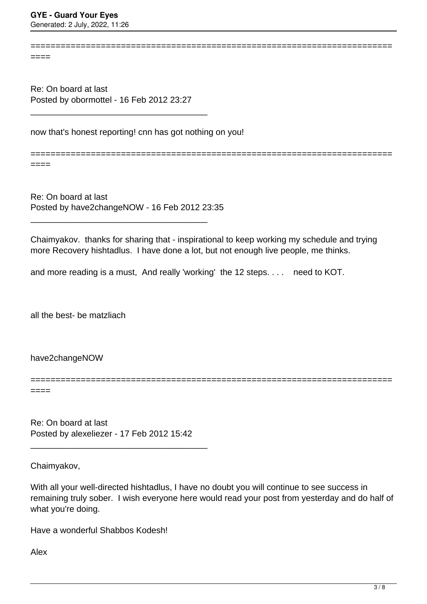$=$ 

Re: On board at last Posted by obormottel - 16 Feb 2012 23:27

\_\_\_\_\_\_\_\_\_\_\_\_\_\_\_\_\_\_\_\_\_\_\_\_\_\_\_\_\_\_\_\_\_\_\_\_\_

now that's honest reporting! cnn has got nothing on you!

========================================================================

========================================================================

 $====$ 

Re: On board at last Posted by have2changeNOW - 16 Feb 2012 23:35

\_\_\_\_\_\_\_\_\_\_\_\_\_\_\_\_\_\_\_\_\_\_\_\_\_\_\_\_\_\_\_\_\_\_\_\_\_

Chaimyakov. thanks for sharing that - inspirational to keep working my schedule and trying more Recovery hishtadlus. I have done a lot, but not enough live people, me thinks.

and more reading is a must, And really 'working' the 12 steps. . . . need to KOT.

all the best- be matzliach

have2changeNOW

========================================================================

====

Re: On board at last Posted by alexeliezer - 17 Feb 2012 15:42

\_\_\_\_\_\_\_\_\_\_\_\_\_\_\_\_\_\_\_\_\_\_\_\_\_\_\_\_\_\_\_\_\_\_\_\_\_

Chaimyakov,

With all your well-directed hishtadlus, I have no doubt you will continue to see success in remaining truly sober. I wish everyone here would read your post from yesterday and do half of what you're doing.

Have a wonderful Shabbos Kodesh!

Alex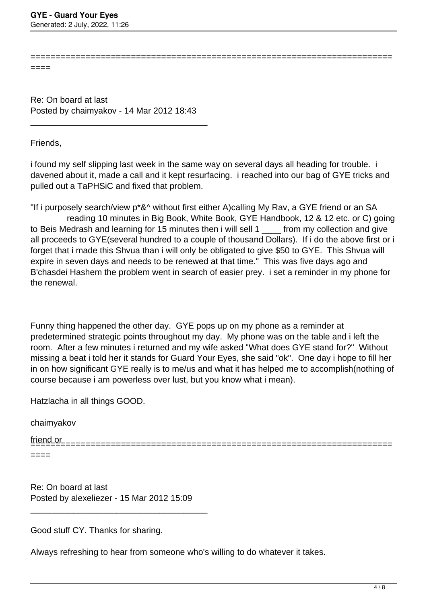====

Re: On board at last Posted by chaimyakov - 14 Mar 2012 18:43

\_\_\_\_\_\_\_\_\_\_\_\_\_\_\_\_\_\_\_\_\_\_\_\_\_\_\_\_\_\_\_\_\_\_\_\_\_

Friends,

i found my self slipping last week in the same way on several days all heading for trouble. i davened about it, made a call and it kept resurfacing. i reached into our bag of GYE tricks and pulled out a TaPHSiC and fixed that problem.

========================================================================

"If i purposely search/view p\*&^ without first either A)calling My Rav, a GYE friend or an SA reading 10 minutes in Big Book, White Book, GYE Handbook, 12 & 12 etc. or C) going to Beis Medrash and learning for 15 minutes then i will sell 1 from my collection and give all proceeds to GYE(several hundred to a couple of thousand Dollars). If i do the above first or i forget that i made this Shvua than i will only be obligated to give \$50 to GYE. This Shvua will expire in seven days and needs to be renewed at that time." This was five days ago and B'chasdei Hashem the problem went in search of easier prey. i set a reminder in my phone for the renewal.

Funny thing happened the other day. GYE pops up on my phone as a reminder at predetermined strategic points throughout my day. My phone was on the table and i left the room. After a few minutes i returned and my wife asked "What does GYE stand for?" Without missing a beat i told her it stands for Guard Your Eyes, she said "ok". One day i hope to fill her in on how significant GYE really is to me/us and what it has helped me to accomplish(nothing of course because i am powerless over lust, but you know what i mean).

Hatzlacha in all things GOOD.

chaimyakov

friend or ========================================================================

====

Re: On board at last Posted by alexeliezer - 15 Mar 2012 15:09

\_\_\_\_\_\_\_\_\_\_\_\_\_\_\_\_\_\_\_\_\_\_\_\_\_\_\_\_\_\_\_\_\_\_\_\_\_

Good stuff CY. Thanks for sharing.

Always refreshing to hear from someone who's willing to do whatever it takes.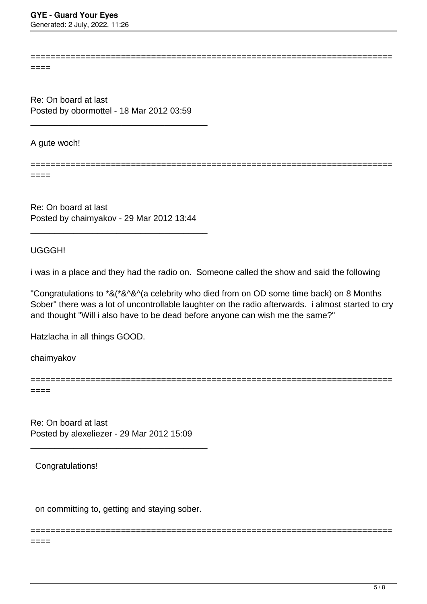Generated: 2 July, 2022, 11:26

========================================================================

========================================================================

====

Re: On board at last Posted by obormottel - 18 Mar 2012 03:59

\_\_\_\_\_\_\_\_\_\_\_\_\_\_\_\_\_\_\_\_\_\_\_\_\_\_\_\_\_\_\_\_\_\_\_\_\_

A gute woch!

====

Re: On board at last Posted by chaimyakov - 29 Mar 2012 13:44

\_\_\_\_\_\_\_\_\_\_\_\_\_\_\_\_\_\_\_\_\_\_\_\_\_\_\_\_\_\_\_\_\_\_\_\_\_

UGGGH!

i was in a place and they had the radio on. Someone called the show and said the following

"Congratulations to \*&(\*&^&^(a celebrity who died from on OD some time back) on 8 Months Sober" there was a lot of uncontrollable laughter on the radio afterwards. i almost started to cry and thought "Will i also have to be dead before anyone can wish me the same?"

Hatzlacha in all things GOOD.

chaimyakov

========================================================================

========================================================================

====

Re: On board at last Posted by alexeliezer - 29 Mar 2012 15:09

\_\_\_\_\_\_\_\_\_\_\_\_\_\_\_\_\_\_\_\_\_\_\_\_\_\_\_\_\_\_\_\_\_\_\_\_\_

Congratulations!

on committing to, getting and staying sober.

====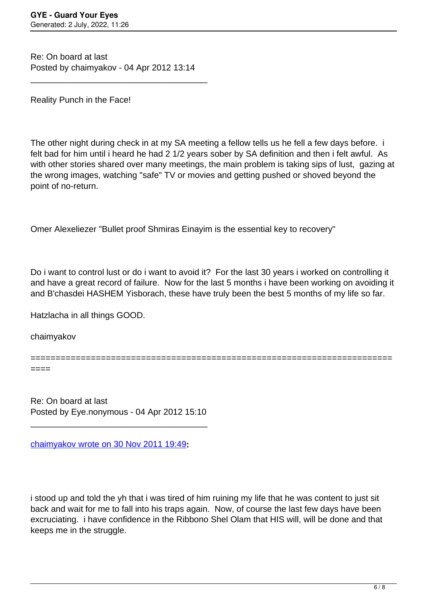Re: On board at last Posted by chaimyakov - 04 Apr 2012 13:14

\_\_\_\_\_\_\_\_\_\_\_\_\_\_\_\_\_\_\_\_\_\_\_\_\_\_\_\_\_\_\_\_\_\_\_\_\_

Reality Punch in the Face!

The other night during check in at my SA meeting a fellow tells us he fell a few days before. i felt bad for him until i heard he had 2 1/2 years sober by SA definition and then i felt awful. As with other stories shared over many meetings, the main problem is taking sips of lust, gazing at the wrong images, watching "safe" TV or movies and getting pushed or shoved beyond the point of no-return.

Omer Alexeliezer "Bullet proof Shmiras Einayim is the essential key to recovery"

Do i want to control lust or do i want to avoid it? For the last 30 years i worked on controlling it and have a great record of failure. Now for the last 5 months i have been working on avoiding it and B'chasdei HASHEM Yisborach, these have truly been the best 5 months of my life so far.

Hatzlacha in all things GOOD.

chaimyakov

======================================================================== ====

Re: On board at last Posted by Eye.nonymous - 04 Apr 2012 15:10

\_\_\_\_\_\_\_\_\_\_\_\_\_\_\_\_\_\_\_\_\_\_\_\_\_\_\_\_\_\_\_\_\_\_\_\_\_

[chaimyakov wrote on 30 Nov 2011 19:49](/forum/id-)**:**

i stood up and told the yh that i was tired of him ruining my life that he was content to just sit back and wait for me to fall into his traps again. Now, of course the last few days have been excruciating. i have confidence in the Ribbono Shel Olam that HIS will, will be done and that keeps me in the struggle.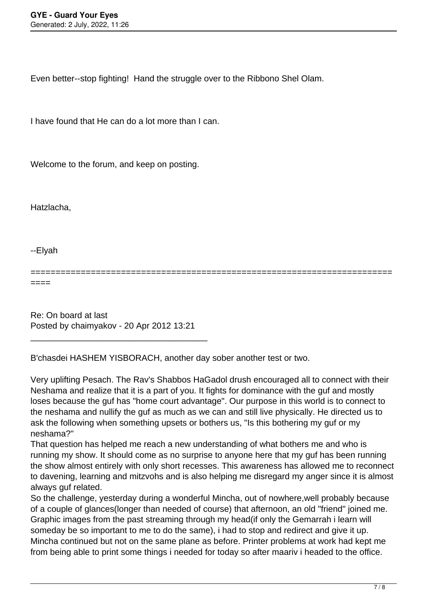Even better--stop fighting! Hand the struggle over to the Ribbono Shel Olam.

I have found that He can do a lot more than I can.

Welcome to the forum, and keep on posting.

Hatzlacha,

--Elyah

========================================================================

====

Re: On board at last Posted by chaimyakov - 20 Apr 2012 13:21

\_\_\_\_\_\_\_\_\_\_\_\_\_\_\_\_\_\_\_\_\_\_\_\_\_\_\_\_\_\_\_\_\_\_\_\_\_

B'chasdei HASHEM YISBORACH, another day sober another test or two.

Very uplifting Pesach. The Rav's Shabbos HaGadol drush encouraged all to connect with their Neshama and realize that it is a part of you. It fights for dominance with the guf and mostly loses because the guf has "home court advantage". Our purpose in this world is to connect to the neshama and nullify the guf as much as we can and still live physically. He directed us to ask the following when something upsets or bothers us, "Is this bothering my guf or my neshama?"

That question has helped me reach a new understanding of what bothers me and who is running my show. It should come as no surprise to anyone here that my guf has been running the show almost entirely with only short recesses. This awareness has allowed me to reconnect to davening, learning and mitzvohs and is also helping me disregard my anger since it is almost always guf related.

So the challenge, yesterday during a wonderful Mincha, out of nowhere,well probably because of a couple of glances(longer than needed of course) that afternoon, an old "friend" joined me. Graphic images from the past streaming through my head(if only the Gemarrah i learn will someday be so important to me to do the same), i had to stop and redirect and give it up. Mincha continued but not on the same plane as before. Printer problems at work had kept me from being able to print some things i needed for today so after maariv i headed to the office.